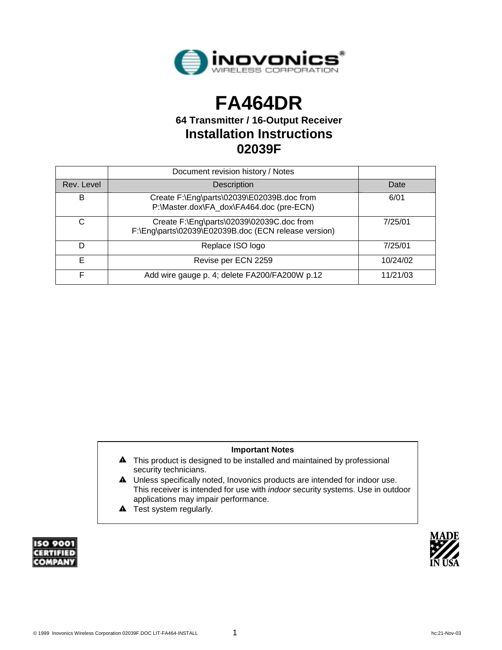

# **FA464DR**

**64 Transmitter / 16-Output Receiver Installation Instructions 02039F** 

|            | Document revision history / Notes                                                                 |          |
|------------|---------------------------------------------------------------------------------------------------|----------|
| Rev. Level | Description                                                                                       | Date     |
| B          | Create F:\Eng\parts\02039\E02039B.doc from<br>P:\Master.dox\FA_dox\FA464.doc (pre-ECN)            | 6/01     |
| C          | Create F:\Eng\parts\02039\02039C.doc from<br>F:\Eng\parts\02039\E02039B.doc (ECN release version) | 7/25/01  |
| D          | Replace ISO logo                                                                                  | 7/25/01  |
| Е          | Revise per ECN 2259                                                                               | 10/24/02 |
|            | Add wire gauge p. 4; delete FA200/FA200W p.12                                                     | 11/21/03 |

#### **Important Notes**

- $\blacktriangle$  This product is designed to be installed and maintained by professional security technicians.
- A Unless specifically noted, Inovonics products are intended for indoor use. This receiver is intended for use with *indoor* security systems. Use in outdoor applications may impair performance.
- $\triangle$  Test system regularly.



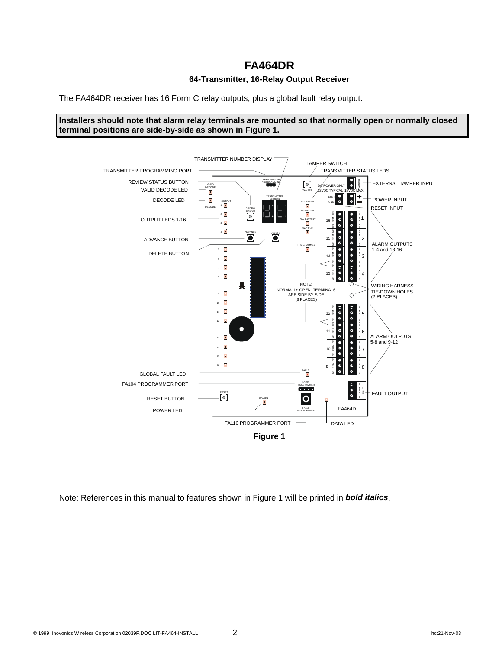### **FA464DR**

#### **64-Transmitter, 16-Relay Output Receiver**

The FA464DR receiver has 16 Form C relay outputs, plus a global fault relay output.

**Installers should note that alarm relay terminals are mounted so that normally open or normally closed terminal positions are side-by-side as shown in Figure 1.**



Note: References in this manual to features shown in Figure 1 will be printed in *bold italics*.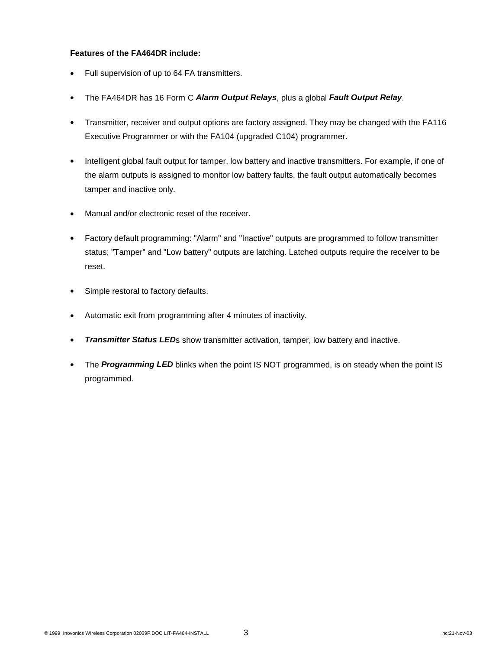#### **Features of the FA464DR include:**

- Full supervision of up to 64 FA transmitters.
- x The FA464DR has 16 Form C *Alarm Output Relays*, plus a global *Fault Output Relay*.
- Transmitter, receiver and output options are factory assigned. They may be changed with the FA116 Executive Programmer or with the FA104 (upgraded C104) programmer.
- Intelligent global fault output for tamper, low battery and inactive transmitters. For example, if one of the alarm outputs is assigned to monitor low battery faults, the fault output automatically becomes tamper and inactive only.
- Manual and/or electronic reset of the receiver.
- Factory default programming: "Alarm" and "Inactive" outputs are programmed to follow transmitter status; "Tamper" and "Low battery" outputs are latching. Latched outputs require the receiver to be reset.
- Simple restoral to factory defaults.
- Automatic exit from programming after 4 minutes of inactivity.
- *Transmitter Status LED***s** show transmitter activation, tamper, low battery and inactive.
- The **Programming LED** blinks when the point IS NOT programmed, is on steady when the point IS programmed.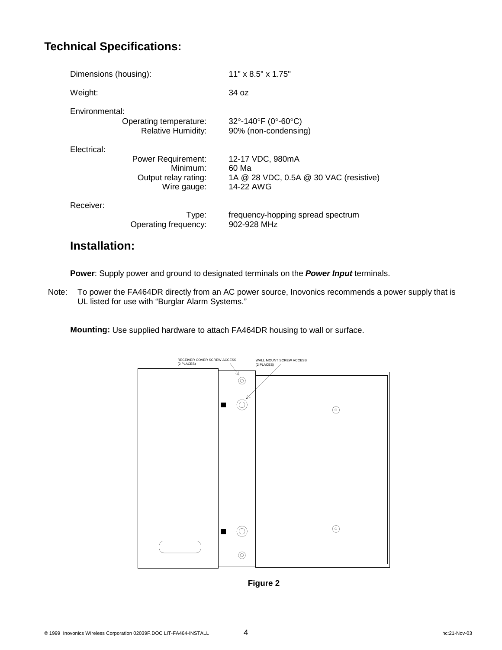### **Technical Specifications:**

| Dimensions (housing):                                                                       | $11" \times 8.5" \times 1.75"$                                                         |  |  |  |
|---------------------------------------------------------------------------------------------|----------------------------------------------------------------------------------------|--|--|--|
| Weight:                                                                                     | 34 oz                                                                                  |  |  |  |
| Environmental:<br>Operating temperature:<br><b>Relative Humidity:</b>                       | $32^{\circ}$ -140 $^{\circ}$ F (0 $^{\circ}$ -60 $^{\circ}$ C)<br>90% (non-condensing) |  |  |  |
| Electrical:<br><b>Power Requirement:</b><br>Minimum:<br>Output relay rating:<br>Wire gauge: | 12-17 VDC, 980mA<br>60 Ma<br>1A @ 28 VDC, 0.5A @ 30 VAC (resistive)<br>14-22 AWG       |  |  |  |
| Receiver:<br>Type:<br>Operating frequency:                                                  | frequency-hopping spread spectrum<br>902-928 MHz                                       |  |  |  |

# **Installation:**

**Power**: Supply power and ground to designated terminals on the *Power Input* terminals.

Note: To power the FA464DR directly from an AC power source, Inovonics recommends a power supply that is UL listed for use with "Burglar Alarm Systems."

**Mounting:** Use supplied hardware to attach FA464DR housing to wall or surface.



**Figure 2**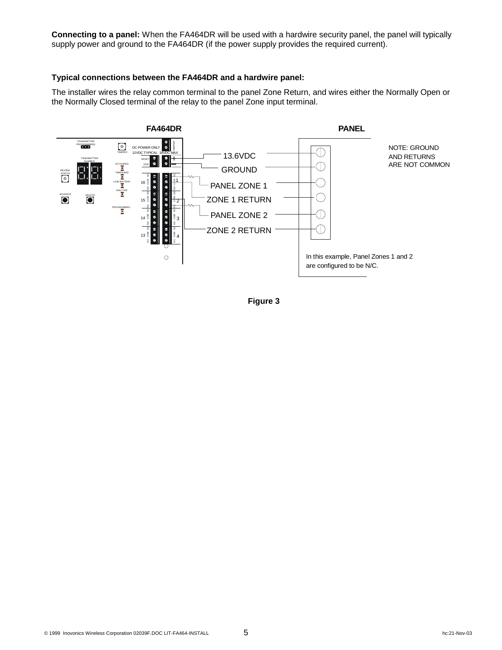**Connecting to a panel:** When the FA464DR will be used with a hardwire security panel, the panel will typically supply power and ground to the FA464DR (if the power supply provides the required current).

#### **Typical connections between the FA464DR and a hardwire panel:**

The installer wires the relay common terminal to the panel Zone Return, and wires either the Normally Open or the Normally Closed terminal of the relay to the panel Zone input terminal.



**Figure 3**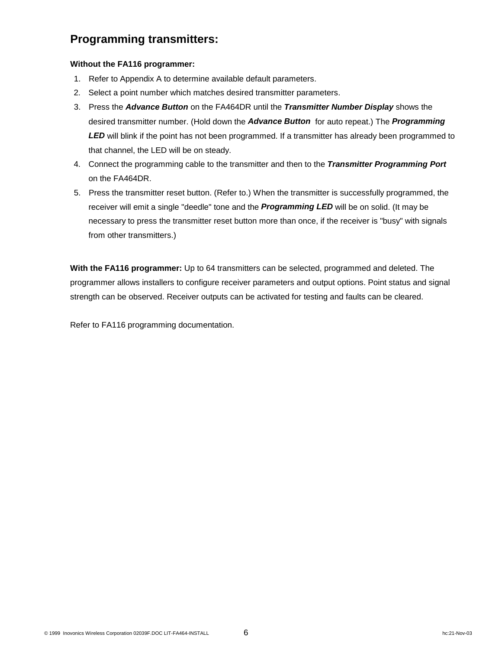### **Programming transmitters:**

#### **Without the FA116 programmer:**

- 1. Refer to Appendix A to determine available default parameters.
- 2. Select a point number which matches desired transmitter parameters.
- 3. Press the *Advance Button* on the FA464DR until the *Transmitter Number Display* shows the desired transmitter number. (Hold down the *Advance Button* for auto repeat.) The *Programming*  LED will blink if the point has not been programmed. If a transmitter has already been programmed to that channel, the LED will be on steady.
- 4. Connect the programming cable to the transmitter and then to the *Transmitter Programming Port* on the FA464DR.
- 5. Press the transmitter reset button. (Refer to.) When the transmitter is successfully programmed, the receiver will emit a single "deedle" tone and the *Programming LED* will be on solid. (It may be necessary to press the transmitter reset button more than once, if the receiver is "busy" with signals from other transmitters.)

**With the FA116 programmer:** Up to 64 transmitters can be selected, programmed and deleted. The programmer allows installers to configure receiver parameters and output options. Point status and signal strength can be observed. Receiver outputs can be activated for testing and faults can be cleared.

Refer to FA116 programming documentation.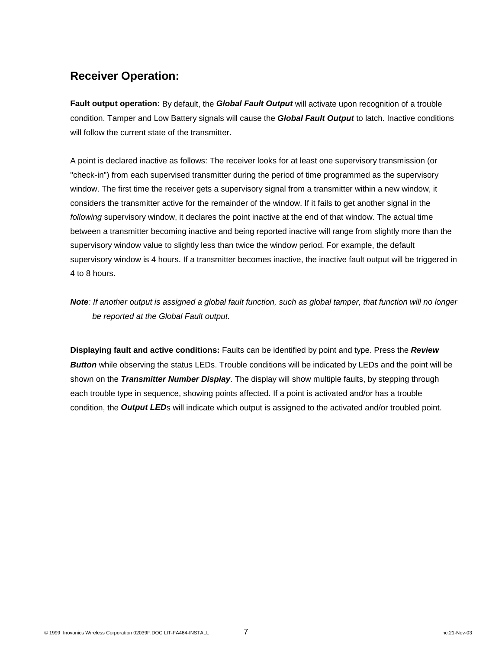### **Receiver Operation:**

**Fault output operation:** By default, the *Global Fault Output* will activate upon recognition of a trouble condition. Tamper and Low Battery signals will cause the *Global Fault Output* to latch. Inactive conditions will follow the current state of the transmitter.

A point is declared inactive as follows: The receiver looks for at least one supervisory transmission (or "check-in") from each supervised transmitter during the period of time programmed as the supervisory window. The first time the receiver gets a supervisory signal from a transmitter within a new window, it considers the transmitter active for the remainder of the window. If it fails to get another signal in the *following* supervisory window, it declares the point inactive at the end of that window. The actual time between a transmitter becoming inactive and being reported inactive will range from slightly more than the supervisory window value to slightly less than twice the window period. For example, the default supervisory window is 4 hours. If a transmitter becomes inactive, the inactive fault output will be triggered in 4 to 8 hours.

### *Note: If another output is assigned a global fault function, such as global tamper, that function will no longer be reported at the Global Fault output.*

**Displaying fault and active conditions:** Faults can be identified by point and type. Press the *Review*  **Button** while observing the status LEDs. Trouble conditions will be indicated by LEDs and the point will be shown on the *Transmitter Number Display*. The display will show multiple faults, by stepping through each trouble type in sequence, showing points affected. If a point is activated and/or has a trouble condition, the *Output LED*s will indicate which output is assigned to the activated and/or troubled point.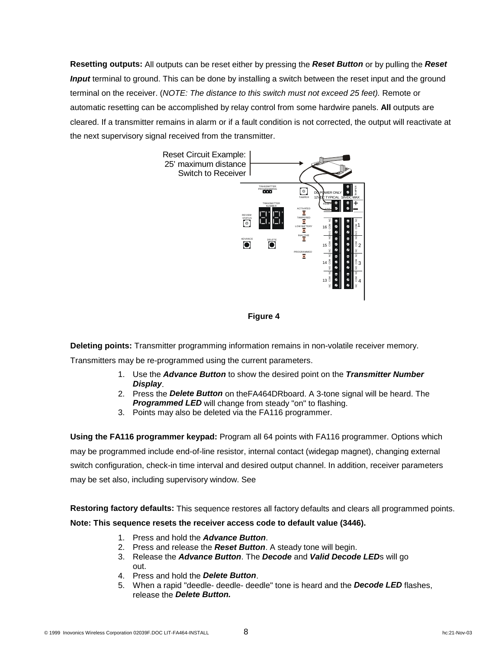**Resetting outputs:** All outputs can be reset either by pressing the *Reset Button* or by pulling the *Reset Input* terminal to ground. This can be done by installing a switch between the reset input and the ground terminal on the receiver. (*NOTE: The distance to this switch must not exceed 25 feet).* Remote or automatic resetting can be accomplished by relay control from some hardwire panels. **All** outputs are cleared. If a transmitter remains in alarm or if a fault condition is not corrected, the output will reactivate at the next supervisory signal received from the transmitter.



#### **Figure 4**

**Deleting points:** Transmitter programming information remains in non-volatile receiver memory.

Transmitters may be re-programmed using the current parameters.

- 1. Use the *Advance Button* to show the desired point on the *Transmitter Number Display*.
- 2. Press the *Delete Button* on theFA464DRboard. A 3-tone signal will be heard. The **Programmed LED** will change from steady "on" to flashing.
- 3. Points may also be deleted via the FA116 programmer.

**Using the FA116 programmer keypad:** Program all 64 points with FA116 programmer. Options which may be programmed include end-of-line resistor, internal contact (widegap magnet), changing external switch configuration, check-in time interval and desired output channel. In addition, receiver parameters may be set also, including supervisory window. See

**Restoring factory defaults:** This sequence restores all factory defaults and clears all programmed points.

**Note: This sequence resets the receiver access code to default value (3446).**

- 1. Press and hold the *Advance Button*.
- 2. Press and release the *Reset Button*. A steady tone will begin.
- 3. Release the *Advance Button*. The *Decode* and *Valid Decode LED*s will go out.
- 4. Press and hold the *Delete Button*.
- 5. When a rapid "deedle- deedle- deedle" tone is heard and the *Decode LED* flashes, release the *Delete Button.*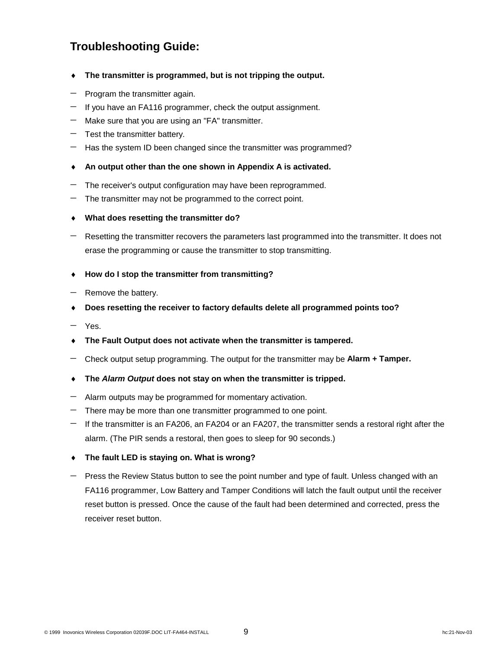# **Troubleshooting Guide:**

- **The transmitter is programmed, but is not tripping the output.**
- Program the transmitter again.
- If you have an FA116 programmer, check the output assignment.
- Make sure that you are using an "FA" transmitter.
- Test the transmitter battery.
- Has the system ID been changed since the transmitter was programmed?
- **An output other than the one shown in Appendix A is activated.**
- The receiver's output configuration may have been reprogrammed.
- The transmitter may not be programmed to the correct point.
- i **What does resetting the transmitter do?**
- Resetting the transmitter recovers the parameters last programmed into the transmitter. It does not erase the programming or cause the transmitter to stop transmitting.
- ◆ How do I stop the transmitter from transmitting?
- Remove the battery.
- ◆ Does resetting the receiver to factory defaults delete all programmed points too?
- Yes.
- i **The Fault Output does not activate when the transmitter is tampered.**
- Check output setup programming. The output for the transmitter may be **Alarm + Tamper.**
- $\bullet$  The *Alarm Output* does not stay on when the transmitter is tripped.
- Alarm outputs may be programmed for momentary activation.
- There may be more than one transmitter programmed to one point.
- If the transmitter is an FA206, an FA204 or an FA207, the transmitter sends a restoral right after the alarm. (The PIR sends a restoral, then goes to sleep for 90 seconds.)
- ◆ The fault LED is staying on. What is wrong?
- Press the Review Status button to see the point number and type of fault. Unless changed with an FA116 programmer, Low Battery and Tamper Conditions will latch the fault output until the receiver reset button is pressed. Once the cause of the fault had been determined and corrected, press the receiver reset button.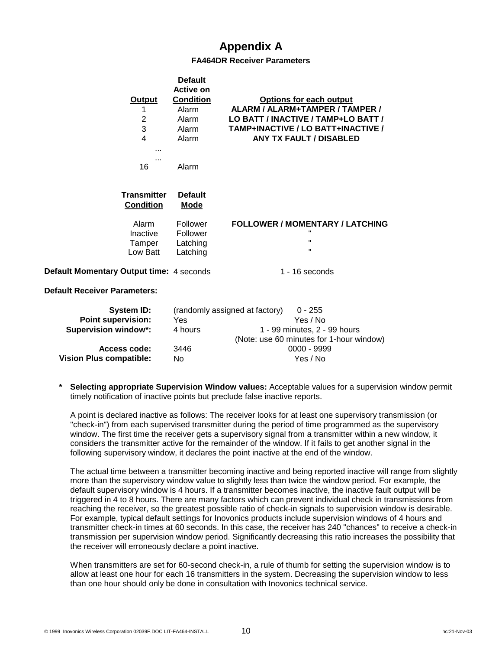# **Appendix A**

#### **FA464DR Receiver Parameters**

|                                          | <b>Default</b>                               |                                                                              |
|------------------------------------------|----------------------------------------------|------------------------------------------------------------------------------|
|                                          | <b>Active on</b>                             |                                                                              |
| Output                                   | <b>Condition</b>                             | <b>Options for each output</b><br>ALARM / ALARM+TAMPER / TAMPER /            |
| 1                                        | Alarm                                        |                                                                              |
| $\overline{c}$<br>3                      | Alarm                                        | LO BATT / INACTIVE / TAMP+LO BATT /                                          |
| 4                                        | Alarm                                        | TAMP+INACTIVE / LO BATT+INACTIVE /                                           |
|                                          | Alarm                                        | <b>ANY TX FAULT / DISABLED</b>                                               |
| $\cdots$<br>$\cdots$<br>16               | Alarm                                        |                                                                              |
| <b>Transmitter</b><br><b>Condition</b>   | <b>Default</b><br><u>Mode</u>                |                                                                              |
| Alarm<br>Inactive<br>Tamper<br>Low Batt  | Follower<br>Follower<br>Latching<br>Latching | <b>FOLLOWER / MOMENTARY / LATCHING</b><br>π.<br>$\mathbf{H}$<br>$\mathbf{H}$ |
| Default Momentary Output time: 4 seconds |                                              | $1 - 16$ seconds                                                             |
| <b>Default Receiver Parameters:</b>      |                                              |                                                                              |
| <b>System ID:</b>                        |                                              | (randomly assigned at factory)<br>$0 - 255$                                  |
| <b>Point supervision:</b>                | Yes                                          | Yes / No                                                                     |
| <b>Supervision window*:</b>              | 4 hours                                      | 1 - 99 minutes, 2 - 99 hours                                                 |
|                                          |                                              | (Note: use 60 minutes for 1-hour window)                                     |

|         | (rangonny assigned at lactory)<br>U - 200 |
|---------|-------------------------------------------|
| Yes     | Yes / No                                  |
| 4 hours | 1 - 99 minutes, 2 - 99 hours              |
|         | (Note: use 60 minutes for 1-hour window)  |
| 3446    | 0000 - 9999                               |
| No.     | Yes / No                                  |
|         |                                           |

**Selecting appropriate Supervision Window values:** Acceptable values for a supervision window permit timely notification of inactive points but preclude false inactive reports.

A point is declared inactive as follows: The receiver looks for at least one supervisory transmission (or "check-in") from each supervised transmitter during the period of time programmed as the supervisory window. The first time the receiver gets a supervisory signal from a transmitter within a new window, it considers the transmitter active for the remainder of the window. If it fails to get another signal in the following supervisory window, it declares the point inactive at the end of the window.

The actual time between a transmitter becoming inactive and being reported inactive will range from slightly more than the supervisory window value to slightly less than twice the window period. For example, the default supervisory window is 4 hours. If a transmitter becomes inactive, the inactive fault output will be triggered in 4 to 8 hours. There are many factors which can prevent individual check in transmissions from reaching the receiver, so the greatest possible ratio of check-in signals to supervision window is desirable. For example, typical default settings for Inovonics products include supervision windows of 4 hours and transmitter check-in times at 60 seconds. In this case, the receiver has 240 "chances" to receive a check-in transmission per supervision window period. Significantly decreasing this ratio increases the possibility that the receiver will erroneously declare a point inactive.

When transmitters are set for 60-second check-in, a rule of thumb for setting the supervision window is to allow at least one hour for each 16 transmitters in the system. Decreasing the supervision window to less than one hour should only be done in consultation with Inovonics technical service.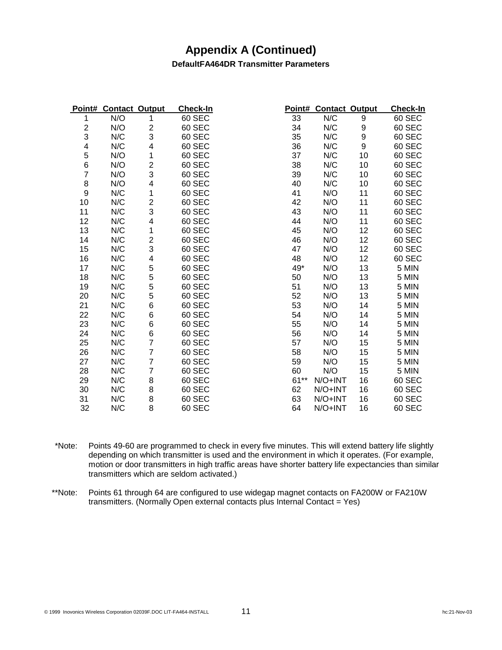### **Appendix A (Continued)**

#### **DefaultFA464DR Transmitter Parameters**

| Point#                   | <b>Contact Output</b> |                         | <b>Check-In</b> |        | Point# Contact Output |                  | <b>Check-In</b> |
|--------------------------|-----------------------|-------------------------|-----------------|--------|-----------------------|------------------|-----------------|
|                          | N/O                   | 1                       | 60 SEC          | 33     | N/C                   | 9                | 60 SEC          |
| $\mathbf{2}$             | N/O                   | 2                       | 60 SEC          | 34     | N/C                   | 9                | 60 SEC          |
| 3                        | N/C                   | 3                       | 60 SEC          | 35     | N/C                   | $\boldsymbol{9}$ | 60 SEC          |
| $\overline{\mathcal{A}}$ | N/C                   | 4                       | 60 SEC          | 36     | N/C                   | 9                | 60 SEC          |
| 5                        | N/O                   | 1                       | 60 SEC          | 37     | N/C                   | 10               | 60 SEC          |
| 6                        | N/O                   | $\overline{\mathbf{c}}$ | 60 SEC          | 38     | N/C                   | 10               | 60 SEC          |
| 7                        | N/O                   | 3                       | 60 SEC          | 39     | N/C                   | 10               | 60 SEC          |
| $\bf 8$                  | N/O                   | 4                       | 60 SEC          | 40     | N/C                   | 10               | 60 SEC          |
| $\boldsymbol{9}$         | N/C                   | 1                       | 60 SEC          | 41     | N/O                   | 11               | 60 SEC          |
| 10                       | N/C                   | $\overline{\mathbf{c}}$ | 60 SEC          | 42     | N/O                   | 11               | 60 SEC          |
| 11                       | N/C                   | 3                       | 60 SEC          | 43     | N/O                   | 11               | 60 SEC          |
| 12                       | N/C                   | 4                       | 60 SEC          | 44     | N/O                   | 11               | 60 SEC          |
| 13                       | N/C                   | 1                       | 60 SEC          | 45     | N/O                   | 12               | 60 SEC          |
| 14                       | N/C                   | $\overline{\mathbf{c}}$ | 60 SEC          | 46     | N/O                   | 12               | 60 SEC          |
| 15                       | N/C                   | 3                       | 60 SEC          | 47     | N/O                   | 12               | 60 SEC          |
| 16                       | N/C                   | 4                       | 60 SEC          | 48     | N/O                   | 12               | 60 SEC          |
| 17                       | N/C                   | 5                       | 60 SEC          | 49*    | N/O                   | 13               | 5 MIN           |
| 18                       | N/C                   | 5                       | 60 SEC          | 50     | N/O                   | 13               | 5 MIN           |
| 19                       | N/C                   | 5                       | 60 SEC          | 51     | N/O                   | 13               | 5 MIN           |
| 20                       | N/C                   | 5                       | 60 SEC          | 52     | N/O                   | 13               | 5 MIN           |
| 21                       | N/C                   | 6                       | 60 SEC          | 53     | N/O                   | 14               | 5 MIN           |
| 22                       | N/C                   | 6                       | 60 SEC          | 54     | N/O                   | 14               | 5 MIN           |
| 23                       | N/C                   | 6                       | 60 SEC          | 55     | N/O                   | 14               | 5 MIN           |
| 24                       | N/C                   | 6                       | 60 SEC          | 56     | N/O                   | 14               | 5 MIN           |
| 25                       | N/C                   | 7                       | 60 SEC          | 57     | N/O                   | 15               | 5 MIN           |
| 26                       | N/C                   | 7                       | 60 SEC          | 58     | N/O                   | 15               | 5 MIN           |
| 27                       | N/C                   | $\overline{7}$          | 60 SEC          | 59     | N/O                   | 15               | 5 MIN           |
| 28                       | N/C                   | 7                       | 60 SEC          | 60     | N/O                   | 15               | 5 MIN           |
| 29                       | N/C                   | 8                       | 60 SEC          | $61**$ | N/O+INT               | 16               | 60 SEC          |
| 30                       | N/C                   | 8                       | 60 SEC          | 62     | N/O+INT               | 16               | 60 SEC          |
| 31                       | N/C                   | 8                       | 60 SEC          | 63     | $N/O+INT$             | 16               | 60 SEC          |
| 32                       | N/C                   | 8                       | 60 SEC          | 64     | N/O+INT               | 16               | 60 SEC          |

 \*Note: Points 49-60 are programmed to check in every five minutes. This will extend battery life slightly depending on which transmitter is used and the environment in which it operates. (For example, motion or door transmitters in high traffic areas have shorter battery life expectancies than similar transmitters which are seldom activated.)

 \*\*Note: Points 61 through 64 are configured to use widegap magnet contacts on FA200W or FA210W transmitters. (Normally Open external contacts plus Internal Contact = Yes)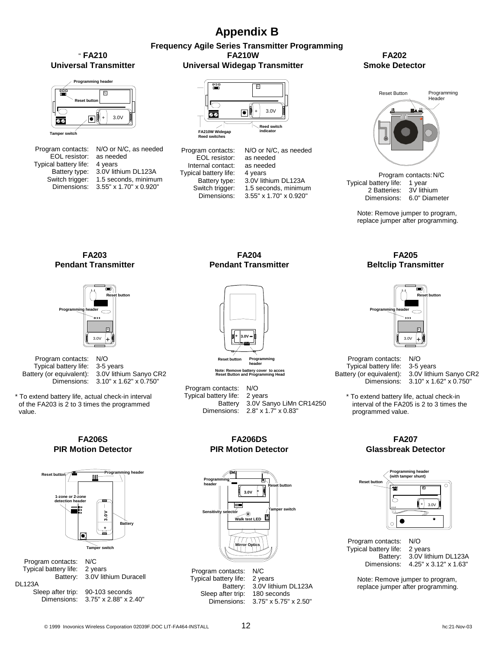# **Appendix B**

#### **Frequency Agile Series Transmitter Programming FA210W Universal Widegap Transmitter**

#### " **FA210 Universal Transmitter**



|                       | Program contacts: N/O or N/C, as needed |
|-----------------------|-----------------------------------------|
| EOL resistor:         | as needed                               |
| Typical battery life: | 4 years                                 |
| Battery type:         | 3.0V lithium DL123A                     |
| Switch trigger:       | 1.5 seconds, minimum                    |
| Dimensions:           | 3.55" x 1.70" x 0.920"                  |
|                       |                                         |



**FA210W Widegap Reed switches**

Program contacts: EOL resistor: Internal contact: Typical battery life: Battery type: Switch trigger:<br>Dimensions:

| $\sim$ Reed switch<br>indicator |
|---------------------------------|
| N/O or N/C, as needed           |
| as needed                       |
| as needed                       |
| 4 years                         |
| 3.0V lithium DL123A             |
| 1.5 seconds, minimum            |
| 3.55" x 1.70" x 0.920"          |

**FA202 Smoke Detector**



Program contacts: N/C Typical battery life: 1 year 2 Batteries: 3V lithium Dimensions: 6.0" Diameter

> Note: Remove jumper to program, replace jumper after programming.

**FA203 Pendant Transmitter** 



 Program contacts: N/O Typical battery life: 3-5 years Battery (or equivalent): 3.0V lithium Sanyo CR2

Dimensions: 3.10" x 1.62" x 0.750"

\* To extend battery life, actual check-in interval of the FA203 is 2 to 3 times the programmed value.





| Program contacts:             | N/C                               |
|-------------------------------|-----------------------------------|
| Typical battery life: 2 years |                                   |
|                               | Battery: 3.0V lithium Duracell    |
| <b>DL123A</b>                 |                                   |
| Sleep after trip:             | 90-103 seconds                    |
|                               | Dimensions: 3.75" x 2.88" x 2.40" |
|                               |                                   |

**FA204 Pendant Transmitter** 



**Note: Remove battery cover to access Reset Button and Programming Head**

 Program contacts: N/O Typical battery life: 2 years 3.0V Sanyo LiMn CR14250 Dimensions: 2.8" x 1.7" x 0.83"

> **FA206DS PIR Motion Detector**



#### **FA205 Beltclip Transmitter**



 Program contacts: N/O Typical battery life: 3-5 years Battery (or equivalent): 3.0V lithium Sanyo CR2

Dimensions: 3.10" x 1.62" x 0.750"

\* To extend battery life, actual check-in interval of the FA205 is 2 to 3 times the programmed value.

#### **FA207 Glassbreak Detector**



Program contacts: N/O<br>Typical battery life: 2 years Typical battery life:

 Battery: 3.0V lithium DL123A Dimensions: 4.25" x 3.12" x 1.63"

 Note: Remove jumper to program, replace jumper after programming.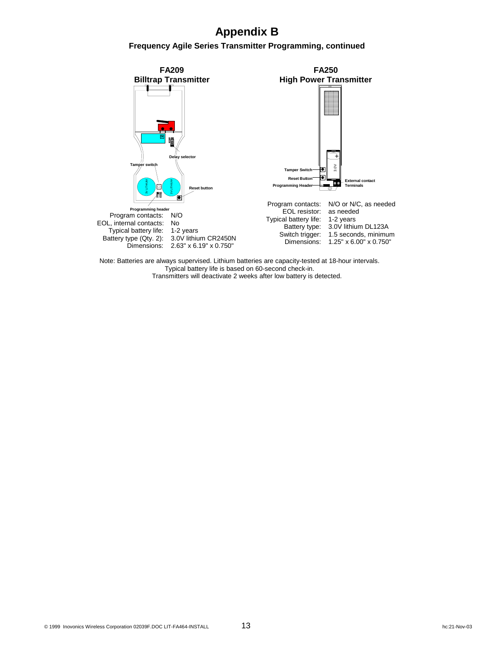# **Appendix B**

**Frequency Agile Series Transmitter Programming, continued** 



Note: Batteries are always supervised. Lithium batteries are capacity-tested at 18-hour intervals. Typical battery life is based on 60-second check-in. Transmitters will deactivate 2 weeks after low battery is detected.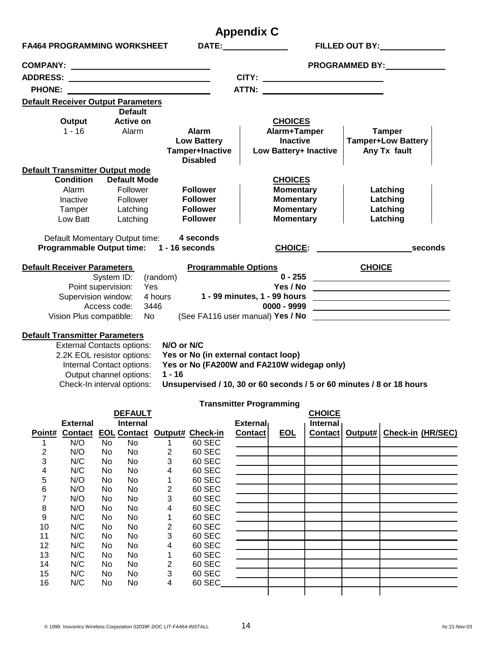|                                           |                                                                                      |              |                           |                                                                                                                       |                                            | <b>Appendix C</b>              |                  |                              |               |                                                                                                                      |  |
|-------------------------------------------|--------------------------------------------------------------------------------------|--------------|---------------------------|-----------------------------------------------------------------------------------------------------------------------|--------------------------------------------|--------------------------------|------------------|------------------------------|---------------|----------------------------------------------------------------------------------------------------------------------|--|
| <b>FA464 PROGRAMMING WORKSHEET</b>        |                                                                                      |              |                           |                                                                                                                       |                                            |                                |                  |                              |               | FILLED OUT BY: NAMEL AND THE STATE OF THE STATE OF THE STATE OF THE STATE OF THE STATE OF THE STATE OF THE STA       |  |
|                                           |                                                                                      |              |                           |                                                                                                                       |                                            |                                |                  |                              |               | <b>PROGRAMMED BY:</b>                                                                                                |  |
|                                           |                                                                                      |              |                           |                                                                                                                       |                                            |                                |                  | CITY: ______________________ |               |                                                                                                                      |  |
| <b>PHONE:</b>                             |                                                                                      |              |                           | <u> 1989 - Johann Harry Harry Harry Harry Harry Harry Harry Harry Harry Harry Harry Harry Harry Harry Harry Harry</u> |                                            |                                |                  |                              |               |                                                                                                                      |  |
| <b>Default Receiver Output Parameters</b> |                                                                                      |              |                           |                                                                                                                       |                                            |                                |                  |                              |               |                                                                                                                      |  |
|                                           |                                                                                      |              | <b>Default</b>            |                                                                                                                       |                                            |                                |                  |                              |               |                                                                                                                      |  |
|                                           | Output                                                                               |              | <b>Active on</b>          |                                                                                                                       |                                            |                                | <b>CHOICES</b>   |                              |               |                                                                                                                      |  |
|                                           | 1 - 16 Alarm                                                                         |              |                           |                                                                                                                       | <b>Alarm</b>                               |                                | Alarm+Tamper     |                              |               | <b>Tamper</b>                                                                                                        |  |
|                                           |                                                                                      |              |                           |                                                                                                                       | <b>Low Battery</b>                         |                                | <b>Inactive</b>  |                              |               | <b>Tamper+Low Battery</b>                                                                                            |  |
|                                           |                                                                                      |              |                           |                                                                                                                       | Tamper+Inactive                            |                                |                  | Low Battery+ Inactive        | Any Tx fault  |                                                                                                                      |  |
| Default Transmitter Output mode           |                                                                                      |              |                           |                                                                                                                       | <b>Disabled</b>                            |                                |                  |                              |               |                                                                                                                      |  |
|                                           | <b>Condition</b>                                                                     |              | <b>Default Mode</b>       |                                                                                                                       |                                            |                                | <b>CHOICES</b>   |                              |               |                                                                                                                      |  |
|                                           | Alarm                                                                                |              | Follower                  |                                                                                                                       | <b>Follower</b>                            |                                | <b>Momentary</b> |                              |               | Latching                                                                                                             |  |
|                                           | Inactive                                                                             |              | Follower                  |                                                                                                                       | <b>Follower</b>                            |                                | <b>Momentary</b> |                              |               | Latching                                                                                                             |  |
|                                           | Tamper                                                                               |              | Latching                  |                                                                                                                       | <b>Follower</b>                            |                                | <b>Momentary</b> |                              |               | Latching                                                                                                             |  |
|                                           | Low Batt                                                                             |              | Latching                  |                                                                                                                       | <b>Follower</b>                            |                                | <b>Momentary</b> |                              |               | Latching                                                                                                             |  |
|                                           |                                                                                      |              |                           |                                                                                                                       |                                            |                                |                  |                              |               |                                                                                                                      |  |
|                                           | Default Momentary Output time: 4 seconds<br>Programmable Output time: 1 - 16 seconds |              |                           |                                                                                                                       |                                            |                                |                  |                              |               | CHOICE: seconds                                                                                                      |  |
| <b>Default Receiver Parameters</b>        |                                                                                      |              |                           |                                                                                                                       | <b>Programmable Options</b>                |                                |                  |                              | <b>CHOICE</b> |                                                                                                                      |  |
|                                           |                                                                                      | System ID:   |                           | (random)                                                                                                              |                                            |                                |                  |                              |               | 0 - 255 <u>________________________________</u>                                                                      |  |
|                                           | Point supervision:                                                                   |              |                           | Yes                                                                                                                   |                                            |                                | Yes / No         |                              |               | <u> 2008 - Andrea Andrew Maria (h. 1878).</u>                                                                        |  |
|                                           | Supervision window:                                                                  |              |                           | 4 hours                                                                                                               |                                            | 1 - 99 minutes, 1 - 99 hours   |                  |                              |               | <u> 1989 - Johann Stein, mars an deutscher Stein und der Stein und der Stein und der Stein und der Stein und der</u> |  |
|                                           |                                                                                      | Access code: |                           | 3446                                                                                                                  |                                            |                                | 0000 - 9999      |                              |               | the contract of the contract of the contract of the contract of the contract of                                      |  |
|                                           | Vision Plus compatible:                                                              |              | No l                      |                                                                                                                       |                                            |                                |                  |                              |               | (See FA116 user manual) $Yes/No$ $\qquad \qquad$                                                                     |  |
| <b>Default Transmitter Parameters</b>     |                                                                                      |              |                           |                                                                                                                       |                                            |                                |                  |                              |               |                                                                                                                      |  |
|                                           | <b>External Contacts options:</b>                                                    |              |                           | N/O or N/C                                                                                                            |                                            |                                |                  |                              |               |                                                                                                                      |  |
|                                           | 2.2K EOL resistor options:                                                           |              |                           |                                                                                                                       | Yes or No (in external contact loop)       |                                |                  |                              |               |                                                                                                                      |  |
|                                           |                                                                                      |              | Internal Contact options: |                                                                                                                       | Yes or No (FA200W and FA210W widegap only) |                                |                  |                              |               |                                                                                                                      |  |
|                                           |                                                                                      |              | Output channel options:   | $1 - 16$                                                                                                              |                                            |                                |                  |                              |               |                                                                                                                      |  |
|                                           | Check-In interval options:                                                           |              |                           |                                                                                                                       |                                            |                                |                  |                              |               | Unsupervised / 10, 30 or 60 seconds / 5 or 60 minutes / 8 or 18 hours                                                |  |
|                                           |                                                                                      |              |                           |                                                                                                                       |                                            | <b>Transmitter Programming</b> |                  |                              |               |                                                                                                                      |  |
|                                           |                                                                                      |              | <b>DEFAULT</b>            |                                                                                                                       |                                            |                                |                  | <b>CHOICE</b>                |               |                                                                                                                      |  |
|                                           | <b>External</b>                                                                      |              | <b>Internal</b>           |                                                                                                                       |                                            | <b>External</b>                |                  | <b>Internal</b>              |               |                                                                                                                      |  |
| Point#                                    | <b>Contact</b>                                                                       |              |                           |                                                                                                                       | <b>EOL Contact Output# Check-in</b>        | <b>Contact</b>                 | <b>EOL</b>       | <b>Contact</b>               | Output#       | <b>Check-in (HR/SEC)</b>                                                                                             |  |
| 1<br>$\overline{2}$                       | N/O<br>N/O                                                                           | No<br>No     | No<br>No                  | 1<br>2                                                                                                                | 60 SEC<br>60 SEC                           |                                |                  |                              |               |                                                                                                                      |  |
| 3                                         | N/C                                                                                  | No           | No                        | 3                                                                                                                     | 60 SEC                                     |                                |                  |                              |               |                                                                                                                      |  |
| $\overline{\mathbf{4}}$                   | N/C                                                                                  | No           | No                        | 4                                                                                                                     | 60 SEC                                     |                                |                  |                              |               |                                                                                                                      |  |
| 5                                         | N/O                                                                                  | No           | No                        | 1                                                                                                                     | 60 SEC                                     |                                |                  |                              |               |                                                                                                                      |  |
| $\,6$                                     | N/O                                                                                  | No           | No                        | 2                                                                                                                     | 60 SEC                                     |                                |                  |                              |               |                                                                                                                      |  |
| $\overline{7}$                            | N/O                                                                                  | No           | No                        | 3                                                                                                                     | 60 SEC                                     |                                |                  |                              |               |                                                                                                                      |  |
| 8                                         | N/O                                                                                  | No           | No                        | 4                                                                                                                     | 60 SEC                                     |                                |                  |                              |               |                                                                                                                      |  |
| 9<br>10                                   | N/C<br>N/C                                                                           | No<br>No     | No<br>No                  | 1<br>2                                                                                                                | 60 SEC<br>60 SEC                           |                                |                  |                              |               |                                                                                                                      |  |
| 11                                        | N/C                                                                                  | No           | No                        | 3                                                                                                                     | 60 SEC                                     |                                |                  |                              |               |                                                                                                                      |  |
| 12                                        | N/C                                                                                  | No           | No                        | 4                                                                                                                     | 60 SEC                                     |                                |                  |                              |               |                                                                                                                      |  |
| 13                                        | N/C                                                                                  | No           | No                        | 1                                                                                                                     | 60 SEC                                     |                                |                  |                              |               |                                                                                                                      |  |
| 14                                        | N/C                                                                                  | No           | No                        | 2                                                                                                                     | 60 SEC                                     |                                |                  |                              |               |                                                                                                                      |  |
| 15<br>16                                  | N/C<br>N/C                                                                           | No<br>No     | No<br>No                  | 3<br>4                                                                                                                | 60 SEC<br>60 SEC                           |                                |                  |                              |               |                                                                                                                      |  |
|                                           |                                                                                      |              |                           |                                                                                                                       |                                            |                                |                  |                              |               |                                                                                                                      |  |
|                                           |                                                                                      |              |                           |                                                                                                                       |                                            |                                |                  |                              |               |                                                                                                                      |  |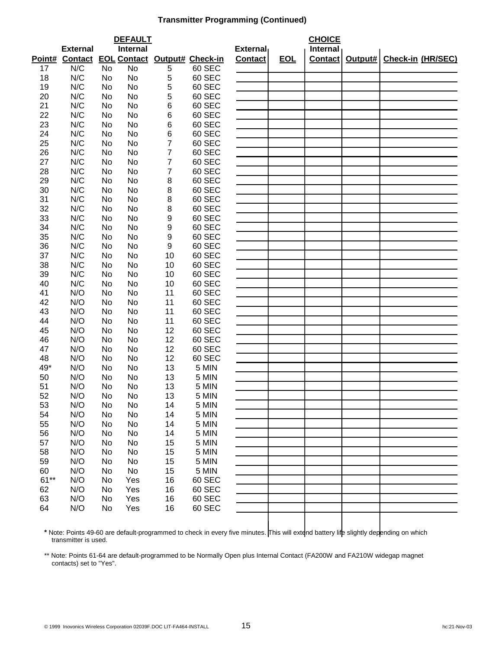#### **Transmitter Programming (Continued)**

|        | <b>DEFAULT</b>  |           |                 |                |                                     | <b>CHOICE</b>   |            |          |         |                   |
|--------|-----------------|-----------|-----------------|----------------|-------------------------------------|-----------------|------------|----------|---------|-------------------|
|        | <b>External</b> |           | <b>Internal</b> |                |                                     | <b>External</b> |            | Internal |         |                   |
| Point# | <b>Contact</b>  |           |                 |                | <b>EOL Contact Output# Check-in</b> | <b>Contact</b>  | <u>EOL</u> | Contact  | Output# | Check-in (HR/SEC) |
| 17     | N/C             | <b>No</b> | <b>No</b>       | 5              | 60 SEC                              |                 |            |          |         |                   |
| 18     | N/C             | No        | No              | 5              | 60 SEC                              |                 |            |          |         |                   |
| 19     | N/C             | No        | No              | 5              | 60 SEC                              |                 |            |          |         |                   |
| 20     | N/C             | No        | No              | 5              | 60 SEC                              |                 |            |          |         |                   |
| 21     | N/C             | No        | No              | 6              | 60 SEC                              |                 |            |          |         |                   |
| 22     | N/C             | No        | No              | 6              | 60 SEC                              |                 |            |          |         |                   |
| 23     | N/C             | No        | No              | 6              | 60 SEC                              |                 |            |          |         |                   |
| 24     | N/C             | No        | No              | 6              | 60 SEC                              |                 |            |          |         |                   |
| 25     | N/C             | No        | No              | 7              | 60 SEC                              |                 |            |          |         |                   |
| 26     | N/C             | No        | No              | $\overline{7}$ | 60 SEC                              |                 |            |          |         |                   |
| 27     | N/C             | No        | No              | 7              | 60 SEC                              |                 |            |          |         |                   |
| 28     | N/C             | No        | No              | $\overline{7}$ | 60 SEC                              |                 |            |          |         |                   |
| 29     | N/C             | No        | No              | 8              | 60 SEC                              |                 |            |          |         |                   |
| 30     | N/C             | No        | No              | 8              | 60 SEC                              |                 |            |          |         |                   |
| 31     | N/C             | No        | No              | 8              | 60 SEC                              |                 |            |          |         |                   |
| 32     | N/C             | No        | No              | 8              | 60 SEC                              |                 |            |          |         |                   |
| 33     | N/C             | No        | No              | 9              | 60 SEC                              |                 |            |          |         |                   |
| 34     | N/C             | No        | No              | 9              | 60 SEC                              |                 |            |          |         |                   |
| 35     | N/C             | No        | No              | 9              | 60 SEC                              |                 |            |          |         |                   |
| 36     | N/C             | No        | No              | 9              | 60 SEC                              |                 |            |          |         |                   |
| 37     | N/C             | No        | No              | 10             | 60 SEC                              |                 |            |          |         |                   |
| 38     | N/C             | No        | No              | 10             | 60 SEC                              |                 |            |          |         |                   |
| 39     | N/C             | No        | No              | 10             | 60 SEC                              |                 |            |          |         |                   |
| 40     | N/C             | No        | No              | 10             | 60 SEC                              |                 |            |          |         |                   |
| 41     | N/O             | No        | No              | 11             | 60 SEC                              |                 |            |          |         |                   |
| 42     | N/O             | No        | No              | 11             | 60 SEC                              |                 |            |          |         |                   |
| 43     | N/O             | No        | No              | 11             | 60 SEC                              |                 |            |          |         |                   |
| 44     | N/O             | No        | No              | 11             | 60 SEC                              |                 |            |          |         |                   |
| 45     | N/O             | No        | No              | 12             | 60 SEC                              |                 |            |          |         |                   |
| 46     | N/O             | No        | No              | 12             | 60 SEC                              |                 |            |          |         |                   |
| 47     | N/O             | No        | No              | 12             | 60 SEC                              |                 |            |          |         |                   |
| 48     | N/O             | No        | No              | 12             | 60 SEC                              |                 |            |          |         |                   |
| 49*    | N/O             | No        | No              | 13             | 5 MIN                               |                 |            |          |         |                   |
| 50     | N/O             | No        | No              | 13             | 5 MIN                               |                 |            |          |         |                   |
| 51     | N/O             | No        | No              | 13             | 5 MIN                               |                 |            |          |         |                   |
| 52     | N/O             | No        | No              | 13             | 5 MIN                               |                 |            |          |         |                   |
| 53     | N/O             | No        | No              | 14             | 5 MIN                               |                 |            |          |         |                   |
| 54     | N/O             | No        | No              | 14             | 5 MIN                               |                 |            |          |         |                   |
| 55     | N/O             | No        | No              | 14             | 5 MIN                               |                 |            |          |         |                   |
| 56     | N/O             | No        | No              | 14             | 5 MIN                               |                 |            |          |         |                   |
| 57     | N/O             | No        | No              | 15             | 5 MIN                               |                 |            |          |         |                   |
| 58     | N/O             | No        | No              | 15             | 5 MIN                               |                 |            |          |         |                   |
| 59     | N/O             | No        | No              | 15             | 5 MIN                               |                 |            |          |         |                   |
| 60     | N/O             | No        | No              | 15             | 5 MIN                               |                 |            |          |         |                   |
| $61**$ | N/O             | No        | Yes             | 16             | 60 SEC                              |                 |            |          |         |                   |
| 62     | N/O             | No        | Yes             | 16             | 60 SEC                              |                 |            |          |         |                   |
| 63     | N/O             | No        | Yes             | 16             | 60 SEC                              |                 |            |          |         |                   |
| 64     | N/O             | No        | Yes             | 16             | 60 SEC                              |                 |            |          |         |                   |
|        |                 |           |                 |                |                                     |                 |            |          |         |                   |

\* Note: Points 49-60 are default-programmed to check in every five minutes. This will extend battery life slightly depending on which transmitter is used.

\*\* Note: Points 61-64 are default-programmed to be Normally Open plus Internal Contact (FA200W and FA210W widegap magnet contacts) set to "Yes".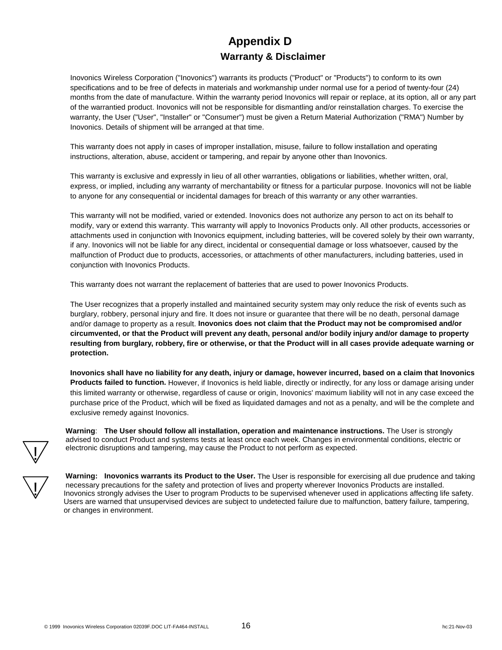# **Appendix D Warranty & Disclaimer**

Inovonics Wireless Corporation ("Inovonics") warrants its products ("Product" or "Products") to conform to its own specifications and to be free of defects in materials and workmanship under normal use for a period of twenty-four (24) months from the date of manufacture. Within the warranty period Inovonics will repair or replace, at its option, all or any part of the warrantied product. Inovonics will not be responsible for dismantling and/or reinstallation charges. To exercise the warranty, the User ("User", "Installer" or "Consumer") must be given a Return Material Authorization ("RMA") Number by Inovonics. Details of shipment will be arranged at that time.

This warranty does not apply in cases of improper installation, misuse, failure to follow installation and operating instructions, alteration, abuse, accident or tampering, and repair by anyone other than Inovonics.

This warranty is exclusive and expressly in lieu of all other warranties, obligations or liabilities, whether written, oral, express, or implied, including any warranty of merchantability or fitness for a particular purpose. Inovonics will not be liable to anyone for any consequential or incidental damages for breach of this warranty or any other warranties.

This warranty will not be modified, varied or extended. Inovonics does not authorize any person to act on its behalf to modify, vary or extend this warranty. This warranty will apply to Inovonics Products only. All other products, accessories or attachments used in conjunction with Inovonics equipment, including batteries, will be covered solely by their own warranty, if any. Inovonics will not be liable for any direct, incidental or consequential damage or loss whatsoever, caused by the malfunction of Product due to products, accessories, or attachments of other manufacturers, including batteries, used in conjunction with Inovonics Products.

This warranty does not warrant the replacement of batteries that are used to power Inovonics Products.

The User recognizes that a properly installed and maintained security system may only reduce the risk of events such as burglary, robbery, personal injury and fire. It does not insure or guarantee that there will be no death, personal damage and/or damage to property as a result. **Inovonics does not claim that the Product may not be compromised and/or circumvented, or that the Product will prevent any death, personal and/or bodily injury and/or damage to property resulting from burglary, robbery, fire or otherwise, or that the Product will in all cases provide adequate warning or protection.**

**Inovonics shall have no liability for any death, injury or damage, however incurred, based on a claim that Inovonics Products failed to function.** However, if Inovonics is held liable, directly or indirectly, for any loss or damage arising under this limited warranty or otherwise, regardless of cause or origin, Inovonics' maximum liability will not in any case exceed the purchase price of the Product, which will be fixed as liquidated damages and not as a penalty, and will be the complete and exclusive remedy against Inovonics.

**Warning**: **The User should follow all installation, operation and maintenance instructions.** The User is strongly advised to conduct Product and systems tests at least once each week. Changes in environmental conditions, electric or electronic disruptions and tampering, may cause the Product to not perform as expected.



!<br>Y

**Warning: Inovonics warrants its Product to the User.** The User is responsible for exercising all due prudence and taking necessary precautions for the safety and protection of lives and property wherever Inovonics Products are installed. Inovonics strongly advises the User to program Products to be supervised whenever used in applications affecting life safety. Users are warned that unsupervised devices are subject to undetected failure due to malfunction, battery failure, tampering, or changes in environment.